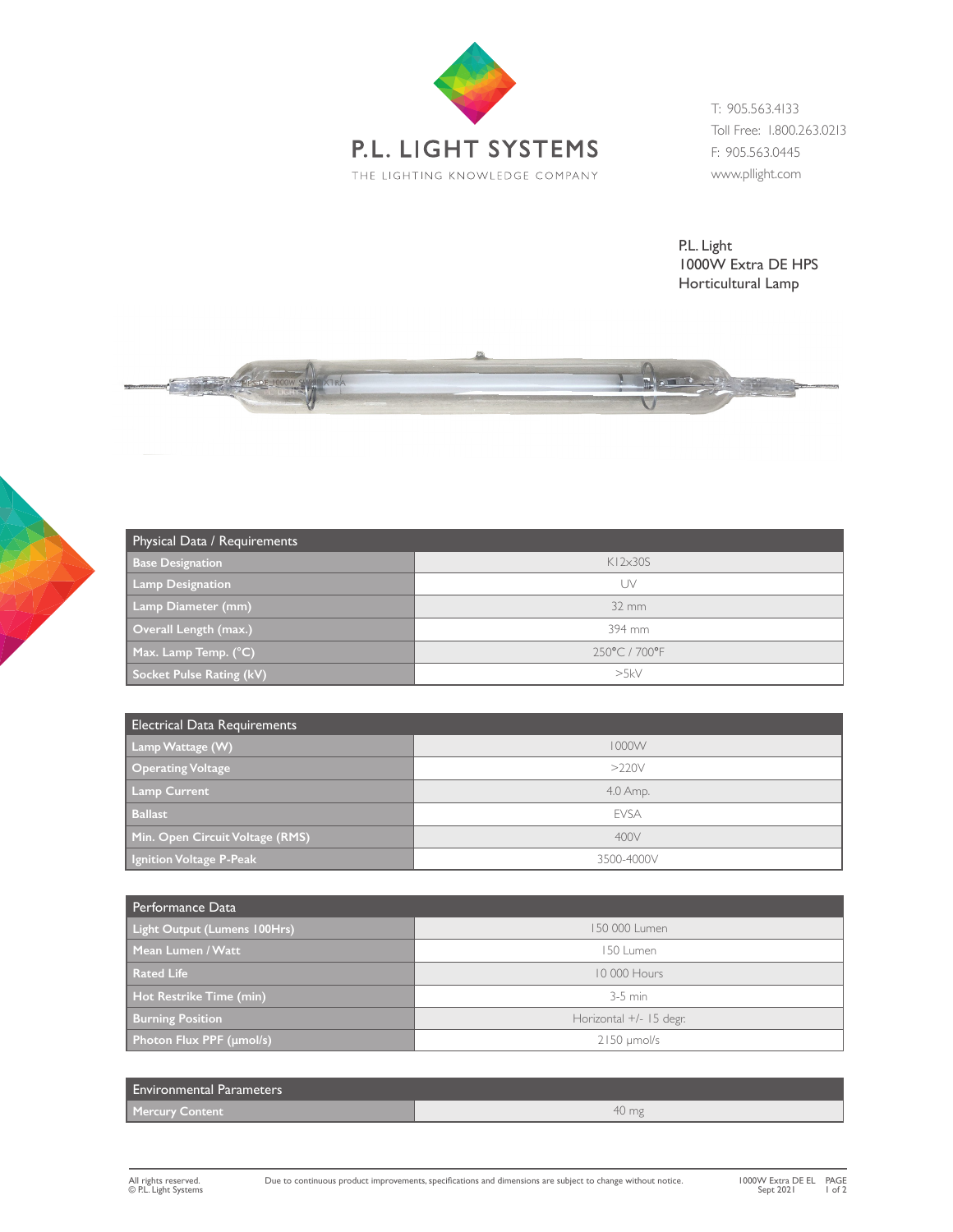

T: 905.563.4133 Toll Free: 1.800.263.0213 F: 905.563.0445 www.pllight.com

P.L. Light 1000W Extra DE HPS Horticultural Lamp



| Physical Data / Requirements |                   |
|------------------------------|-------------------|
| <b>Base Designation</b>      | $K12\times305$    |
| <b>Lamp Designation</b>      | UV                |
| Lamp Diameter (mm)           | $32 \, \text{mm}$ |
| Overall Length (max.)        | 394 mm            |
| Max. Lamp Temp. (°C)         | 250°C/700°F       |
| Socket Pulse Rating (kV)     | >5kV              |

| <b>Electrical Data Requirements</b> |             |
|-------------------------------------|-------------|
| Lamp Wattage (W)                    | 1000W       |
| Operating Voltage                   | $>220$ V    |
| <b>Lamp Current</b>                 | 4.0 Amp.    |
| <b>Ballast</b>                      | <b>FVSA</b> |
| Min. Open Circuit Voltage (RMS)     | 400V        |
| Ignition Voltage P-Peak             | 3500-4000V  |

| Performance Data                    |                           |
|-------------------------------------|---------------------------|
| <b>Light Output (Lumens 100Hrs)</b> | 150 000 Lumen             |
| Mean Lumen / Watt                   | 150 Lumen                 |
| <b>Rated Life</b>                   | 10 000 Hours              |
| Hot Restrike Time (min)             | $3-5$ min                 |
| <b>Burning Position</b>             | Horizontal $+/-$ 15 degr. |
| Photon Flux PPF (umol/s)            | $2150 \mu$ mol/s          |

| <b>Environmental Parameters</b> |       |
|---------------------------------|-------|
| <b>Mercury Content</b>          | 40 mg |